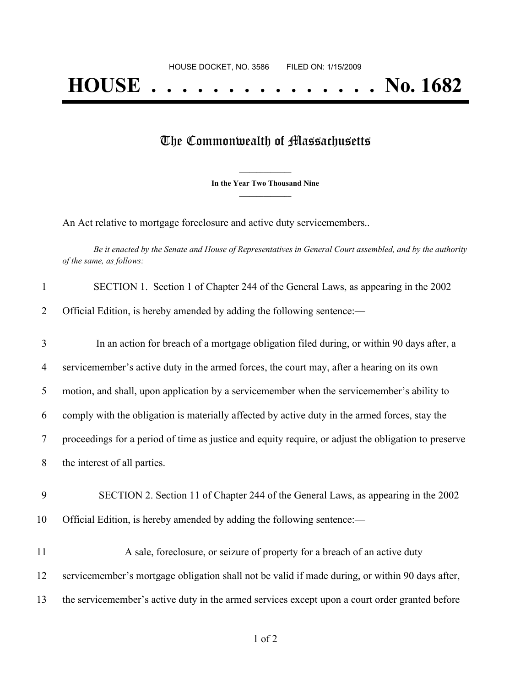## The Commonwealth of Massachusetts

**\_\_\_\_\_\_\_\_\_\_\_\_\_\_\_ In the Year Two Thousand Nine \_\_\_\_\_\_\_\_\_\_\_\_\_\_\_**

An Act relative to mortgage foreclosure and active duty servicemembers..

Be it enacted by the Senate and House of Representatives in General Court assembled, and by the authority *of the same, as follows:*

| 1              | SECTION 1. Section 1 of Chapter 244 of the General Laws, as appearing in the 2002                    |
|----------------|------------------------------------------------------------------------------------------------------|
| 2              | Official Edition, is hereby amended by adding the following sentence:-                               |
| 3              | In an action for breach of a mortgage obligation filed during, or within 90 days after, a            |
| $\overline{4}$ | servicemember's active duty in the armed forces, the court may, after a hearing on its own           |
| 5              | motion, and shall, upon application by a servicemember when the servicemember's ability to           |
| 6              | comply with the obligation is materially affected by active duty in the armed forces, stay the       |
| $\tau$         | proceedings for a period of time as justice and equity require, or adjust the obligation to preserve |
| 8              | the interest of all parties.                                                                         |
| 9              | SECTION 2. Section 11 of Chapter 244 of the General Laws, as appearing in the 2002                   |
| 10             | Official Edition, is hereby amended by adding the following sentence:—                               |
| 11             | A sale, foreclosure, or seizure of property for a breach of an active duty                           |
| 12             | servicemember's mortgage obligation shall not be valid if made during, or within 90 days after,      |
| 13             | the servicemember's active duty in the armed services except upon a court order granted before       |
|                |                                                                                                      |